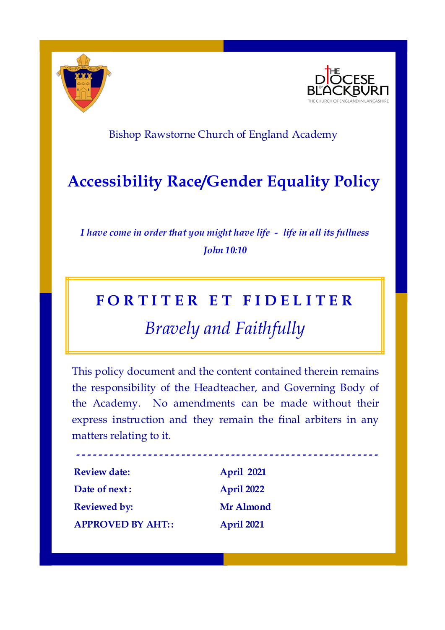

**-**



### Bishop Rawstorne Church of England Academy

## **Accessibility Race/Gender Equality Policy**

*I have come in order that you might have life - life in all its fullness John 10:10*

### **F O R T I T E R E T F I D E L I T E R**

# *Bravely and Faithfully*

This policy document and the content contained therein remains the responsibility of the Headteacher, and Governing Body of the Academy. No amendments can be made without their express instruction and they remain the final arbiters in any matters relating to it.

**- - - - - - - - - - - - - - - - - - - - - - - - - - - - - - - - - - - - - - - - - - - - - - - - - - - - - -**

| <b>Review date:</b>      | <b>April 2021</b> |
|--------------------------|-------------------|
| Date of next:            | April 2022        |
| <b>Reviewed by:</b>      | Mr Almond         |
| <b>APPROVED BY AHT::</b> | April 2021        |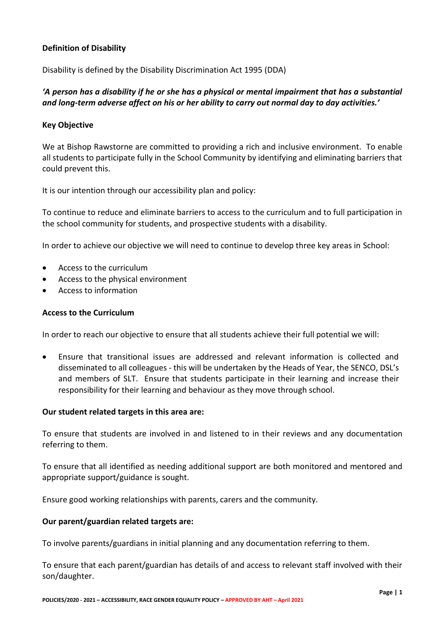#### **Definition of Disability**

Disability is defined by the Disability Discrimination Act 1995 (DDA)

#### *'A person has a disability if he or she has a physical or mental impairment that has a substantial and long-term adverse affect on his or her ability to carry out normal day to day activities.'*

#### **Key Objective**

We at Bishop Rawstorne are committed to providing a rich and inclusive environment. To enable all students to participate fully in the School Community by identifying and eliminating barriers that could prevent this.

It is our intention through our accessibility plan and policy:

To continue to reduce and eliminate barriers to access to the curriculum and to full participation in the school community for students, and prospective students with a disability.

In order to achieve our objective we will need to continue to develop three key areas in School:

- Access to the curriculum
- Access to the physical environment
- Access to information

#### **Access to the Curriculum**

In order to reach our objective to ensure that all students achieve their full potential we will:

• Ensure that transitional issues are addressed and relevant information is collected and disseminated to all colleagues - this will be undertaken by the Heads of Year, the SENCO, DSL's and members of SLT.Ensure that students participate in their learning and increase their responsibility for their learning and behaviour as they move through school.

#### **Our student related targets in this area are:**

To ensure that students are involved in and listened to in their reviews and any documentation referring to them.

To ensure that all identified as needing additional support are both monitored and mentored and appropriate support/guidance is sought.

Ensure good working relationships with parents, carers and the community.

#### **Our parent/guardian related targets are:**

To involve parents/guardians in initial planning and any documentation referring to them.

To ensure that each parent/guardian has details of and access to relevant staff involved with their son/daughter.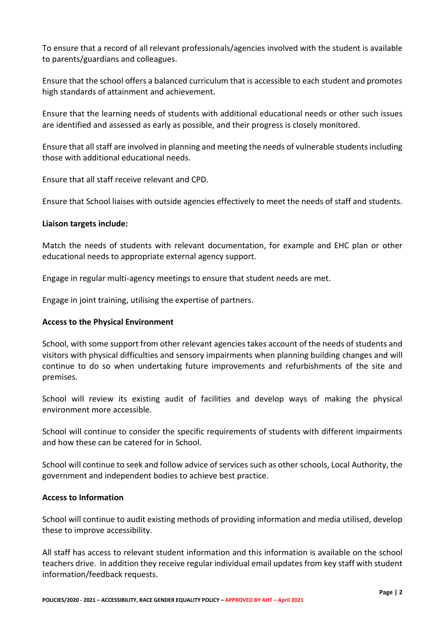To ensure that a record of all relevant professionals/agencies involved with the student is available to parents/guardians and colleagues.

Ensure that the school offers a balanced curriculum that is accessible to each student and promotes high standards of attainment and achievement.

Ensure that the learning needs of students with additional educational needs or other such issues are identified and assessed as early as possible, and their progress is closely monitored.

Ensure that all staff are involved in planning and meeting the needs of vulnerable students including those with additional educational needs.

Ensure that all staff receive relevant and CPD.

Ensure that School liaises with outside agencies effectively to meet the needs of staff and students.

#### **Liaison targets include:**

Match the needs of students with relevant documentation, for example and EHC plan or other educational needs to appropriate external agency support.

Engage in regular multi-agency meetings to ensure that student needs are met.

Engage in joint training, utilising the expertise of partners.

#### **Access to the Physical Environment**

School, with some support from other relevant agencies takes account of the needs of students and visitors with physical difficulties and sensory impairments when planning building changes and will continue to do so when undertaking future improvements and refurbishments of the site and premises.

School will review its existing audit of facilities and develop ways of making the physical environment more accessible.

School will continue to consider the specific requirements of students with different impairments and how these can be catered for in School.

School will continue to seek and follow advice of services such as other schools, Local Authority, the government and independent bodies to achieve best practice.

#### **Access to Information**

School will continue to audit existing methods of providing information and media utilised, develop these to improve accessibility.

All staff has access to relevant student information and this information is available on the school teachers drive. In addition they receive regular individual email updates from key staff with student information/feedback requests.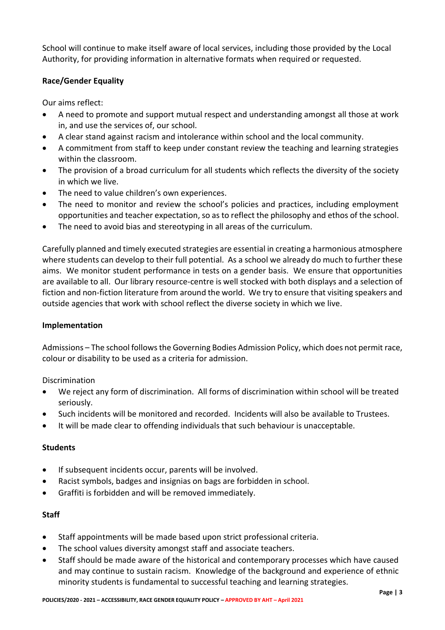School will continue to make itself aware of local services, including those provided by the Local Authority, for providing information in alternative formats when required or requested.

#### **Race/Gender Equality**

Our aims reflect:

- A need to promote and support mutual respect and understanding amongst all those at work in, and use the services of, our school.
- A clear stand against racism and intolerance within school and the local community.
- A commitment from staff to keep under constant review the teaching and learning strategies within the classroom.
- The provision of a broad curriculum for all students which reflects the diversity of the society in which we live.
- The need to value children's own experiences.
- The need to monitor and review the school's policies and practices, including employment opportunities and teacher expectation, so as to reflect the philosophy and ethos of the school.
- The need to avoid bias and stereotyping in all areas of the curriculum.

Carefully planned and timely executed strategies are essential in creating a harmonious atmosphere where students can develop to their full potential. As a school we already do much to further these aims. We monitor student performance in tests on a gender basis. We ensure that opportunities are available to all. Our library resource-centre is well stocked with both displays and a selection of fiction and non-fiction literature from around the world. We try to ensure that visiting speakers and outside agencies that work with school reflect the diverse society in which we live.

#### **Implementation**

Admissions – The school follows the Governing Bodies Admission Policy, which does not permit race, colour or disability to be used as a criteria for admission.

**Discrimination** 

- We reject any form of discrimination. All forms of discrimination within school will be treated seriously.
- Such incidents will be monitored and recorded. Incidents will also be available to Trustees.
- It will be made clear to offending individuals that such behaviour is unacceptable.

#### **Students**

- If subsequent incidents occur, parents will be involved.
- Racist symbols, badges and insignias on bags are forbidden in school.
- Graffiti is forbidden and will be removed immediately.

#### **Staff**

- Staff appointments will be made based upon strict professional criteria.
- The school values diversity amongst staff and associate teachers.
- Staff should be made aware of the historical and contemporary processes which have caused and may continue to sustain racism. Knowledge of the background and experience of ethnic minority students is fundamental to successful teaching and learning strategies.